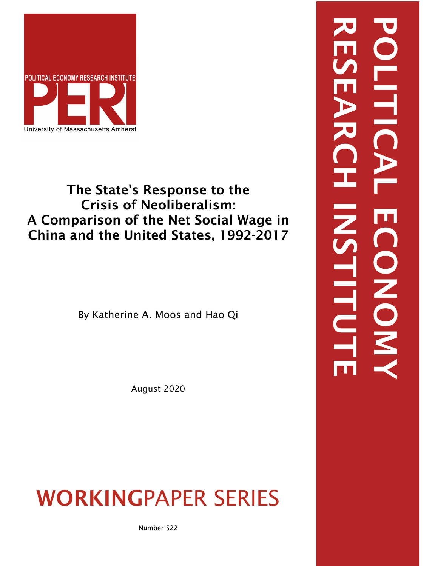

## The State's Response to the Crisis of Neoliberalism: A Comparison of the Net Social Wage in China and the United States, 1992-2017

By Katherine A. Moos and Hao Qi

August 2020

# WORKINGPAPER SERIES

Number 522

RESEARCH INSTITUTE POLITICAL ECONOMYE CONON EILD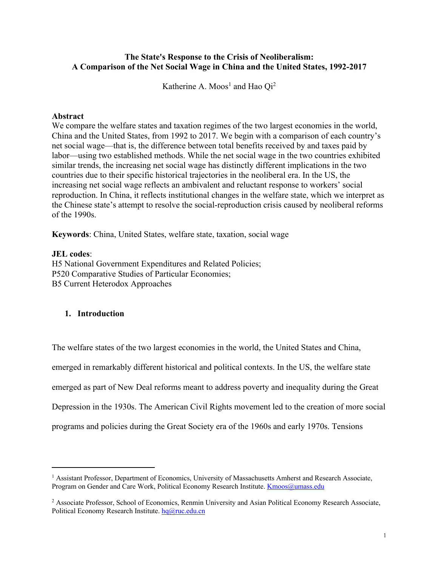#### **The State's Response to the Crisis of Neoliberalism: A Comparison of the Net Social Wage in China and the United States, 1992-2017**

Katherine A. Moos<sup>1</sup> and Hao  $Qi<sup>2</sup>$ 

#### **Abstract**

We compare the welfare states and taxation regimes of the two largest economies in the world, China and the United States, from 1992 to 2017. We begin with a comparison of each country's net social wage—that is, the difference between total benefits received by and taxes paid by labor—using two established methods. While the net social wage in the two countries exhibited similar trends, the increasing net social wage has distinctly different implications in the two countries due to their specific historical trajectories in the neoliberal era. In the US, the increasing net social wage reflects an ambivalent and reluctant response to workers' social reproduction. In China, it reflects institutional changes in the welfare state, which we interpret as the Chinese state's attempt to resolve the social-reproduction crisis caused by neoliberal reforms of the 1990s.

**Keywords**: China, United States, welfare state, taxation, social wage

#### **JEL codes**:

H5 National Government Expenditures and Related Policies; P520 Comparative Studies of Particular Economies; B5 Current Heterodox Approaches

#### **1. Introduction**

The welfare states of the two largest economies in the world, the United States and China, emerged in remarkably different historical and political contexts. In the US, the welfare state emerged as part of New Deal reforms meant to address poverty and inequality during the Great Depression in the 1930s. The American Civil Rights movement led to the creation of more social programs and policies during the Great Society era of the 1960s and early 1970s. Tensions

<sup>&</sup>lt;sup>1</sup> Assistant Professor, Department of Economics, University of Massachusetts Amherst and Research Associate, Program on Gender and Care Work, Political Economy Research Institute. Kmoos@umass.edu

<sup>2</sup> Associate Professor, School of Economics, Renmin University and Asian Political Economy Research Associate, Political Economy Research Institute. hq@ruc.edu.cn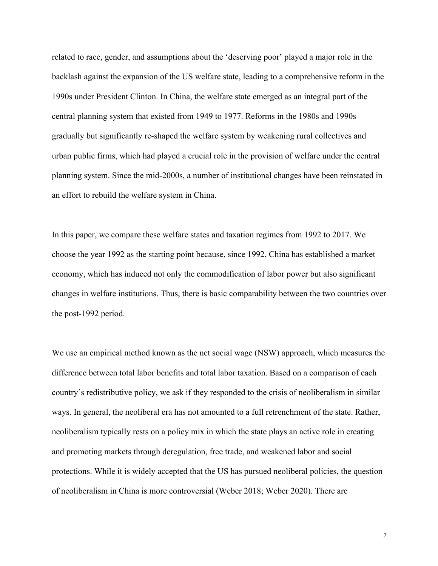related to race, gender, and assumptions about the 'deserving poor' played a major role in the backlash against the expansion of the US welfare state, leading to a comprehensive reform in the 1990s under President Clinton. In China, the welfare state emerged as an integral part of the central planning system that existed from 1949 to 1977. Reforms in the 1980s and 1990s gradually but significantly re-shaped the welfare system by weakening rural collectives and urban public firms, which had played a crucial role in the provision of welfare under the central planning system. Since the mid-2000s, a number of institutional changes have been reinstated in an effort to rebuild the welfare system in China.

In this paper, we compare these welfare states and taxation regimes from 1992 to 2017. We choose the year 1992 as the starting point because, since 1992, China has established a market economy, which has induced not only the commodification of labor power but also significant changes in welfare institutions. Thus, there is basic comparability between the two countries over the post-1992 period.

We use an empirical method known as the net social wage (NSW) approach, which measures the difference between total labor benefits and total labor taxation. Based on a comparison of each country's redistributive policy, we ask if they responded to the crisis of neoliberalism in similar ways. In general, the neoliberal era has not amounted to a full retrenchment of the state. Rather, neoliberalism typically rests on a policy mix in which the state plays an active role in creating and promoting markets through deregulation, free trade, and weakened labor and social protections. While it is widely accepted that the US has pursued neoliberal policies, the question of neoliberalism in China is more controversial (Weber 2018; Weber 2020). There are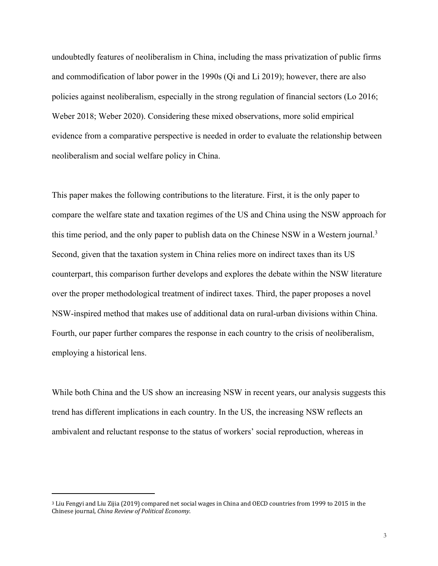undoubtedly features of neoliberalism in China, including the mass privatization of public firms and commodification of labor power in the 1990s (Qi and Li 2019); however, there are also policies against neoliberalism, especially in the strong regulation of financial sectors (Lo 2016; Weber 2018; Weber 2020). Considering these mixed observations, more solid empirical evidence from a comparative perspective is needed in order to evaluate the relationship between neoliberalism and social welfare policy in China.

This paper makes the following contributions to the literature. First, it is the only paper to compare the welfare state and taxation regimes of the US and China using the NSW approach for this time period, and the only paper to publish data on the Chinese NSW in a Western journal.<sup>3</sup> Second, given that the taxation system in China relies more on indirect taxes than its US counterpart, this comparison further develops and explores the debate within the NSW literature over the proper methodological treatment of indirect taxes. Third, the paper proposes a novel NSW-inspired method that makes use of additional data on rural-urban divisions within China. Fourth, our paper further compares the response in each country to the crisis of neoliberalism, employing a historical lens.

While both China and the US show an increasing NSW in recent years, our analysis suggests this trend has different implications in each country. In the US, the increasing NSW reflects an ambivalent and reluctant response to the status of workers' social reproduction, whereas in

<sup>&</sup>lt;sup>3</sup> Liu Fengyi and Liu Zijia (2019) compared net social wages in China and OECD countries from 1999 to 2015 in the Chinese journal, *China Review of Political Economy*.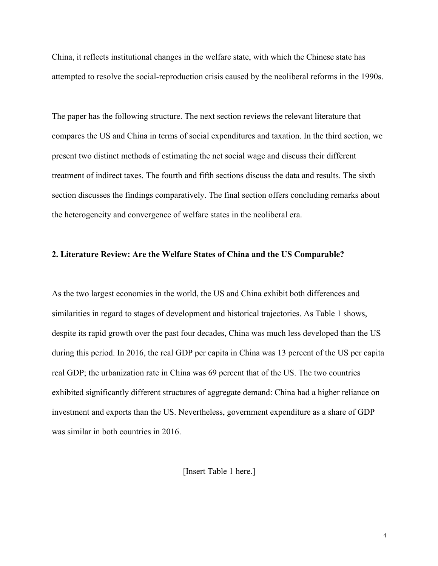China, it reflects institutional changes in the welfare state, with which the Chinese state has attempted to resolve the social-reproduction crisis caused by the neoliberal reforms in the 1990s.

The paper has the following structure. The next section reviews the relevant literature that compares the US and China in terms of social expenditures and taxation. In the third section, we present two distinct methods of estimating the net social wage and discuss their different treatment of indirect taxes. The fourth and fifth sections discuss the data and results. The sixth section discusses the findings comparatively. The final section offers concluding remarks about the heterogeneity and convergence of welfare states in the neoliberal era.

#### **2. Literature Review: Are the Welfare States of China and the US Comparable?**

As the two largest economies in the world, the US and China exhibit both differences and similarities in regard to stages of development and historical trajectories. As Table 1 shows, despite its rapid growth over the past four decades, China was much less developed than the US during this period. In 2016, the real GDP per capita in China was 13 percent of the US per capita real GDP; the urbanization rate in China was 69 percent that of the US. The two countries exhibited significantly different structures of aggregate demand: China had a higher reliance on investment and exports than the US. Nevertheless, government expenditure as a share of GDP was similar in both countries in 2016.

[Insert Table 1 here.]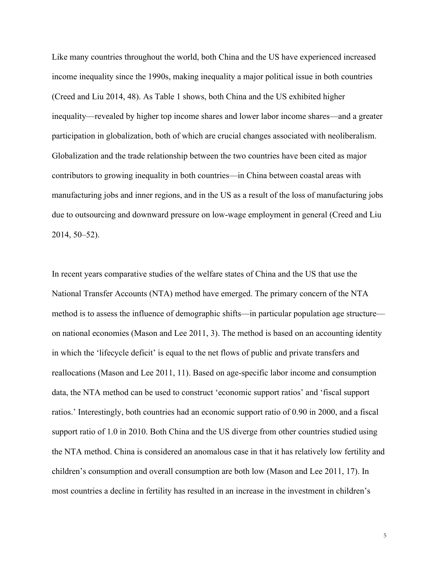Like many countries throughout the world, both China and the US have experienced increased income inequality since the 1990s, making inequality a major political issue in both countries (Creed and Liu 2014, 48). As Table 1 shows, both China and the US exhibited higher inequality—revealed by higher top income shares and lower labor income shares—and a greater participation in globalization, both of which are crucial changes associated with neoliberalism. Globalization and the trade relationship between the two countries have been cited as major contributors to growing inequality in both countries—in China between coastal areas with manufacturing jobs and inner regions, and in the US as a result of the loss of manufacturing jobs due to outsourcing and downward pressure on low-wage employment in general (Creed and Liu 2014, 50–52).

In recent years comparative studies of the welfare states of China and the US that use the National Transfer Accounts (NTA) method have emerged. The primary concern of the NTA method is to assess the influence of demographic shifts—in particular population age structure on national economies (Mason and Lee 2011, 3). The method is based on an accounting identity in which the 'lifecycle deficit' is equal to the net flows of public and private transfers and reallocations (Mason and Lee 2011, 11). Based on age-specific labor income and consumption data, the NTA method can be used to construct 'economic support ratios' and 'fiscal support ratios.' Interestingly, both countries had an economic support ratio of 0.90 in 2000, and a fiscal support ratio of 1.0 in 2010. Both China and the US diverge from other countries studied using the NTA method. China is considered an anomalous case in that it has relatively low fertility and children's consumption and overall consumption are both low (Mason and Lee 2011, 17). In most countries a decline in fertility has resulted in an increase in the investment in children's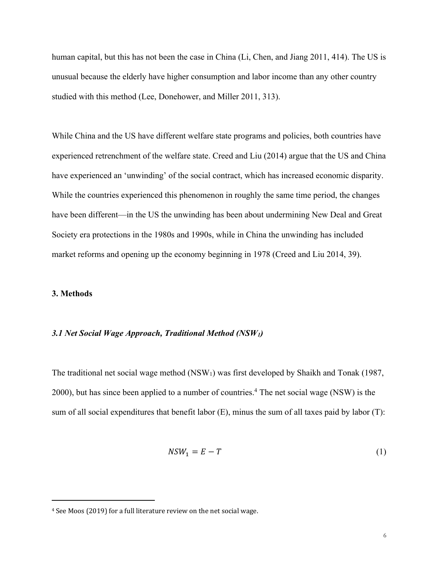human capital, but this has not been the case in China (Li, Chen, and Jiang 2011, 414). The US is unusual because the elderly have higher consumption and labor income than any other country studied with this method (Lee, Donehower, and Miller 2011, 313).

While China and the US have different welfare state programs and policies, both countries have experienced retrenchment of the welfare state. Creed and Liu (2014) argue that the US and China have experienced an 'unwinding' of the social contract, which has increased economic disparity. While the countries experienced this phenomenon in roughly the same time period, the changes have been different—in the US the unwinding has been about undermining New Deal and Great Society era protections in the 1980s and 1990s, while in China the unwinding has included market reforms and opening up the economy beginning in 1978 (Creed and Liu 2014, 39).

#### **3. Methods**

#### *3.1 Net Social Wage Approach, Traditional Method (NSW1)*

The traditional net social wage method  $(NSW_1)$  was first developed by Shaikh and Tonak (1987, 2000), but has since been applied to a number of countries.4 The net social wage (NSW) is the sum of all social expenditures that benefit labor (E), minus the sum of all taxes paid by labor (T):

$$
NSW_1 = E - T \tag{1}
$$

<sup>&</sup>lt;sup>4</sup> See Moos (2019) for a full literature review on the net social wage.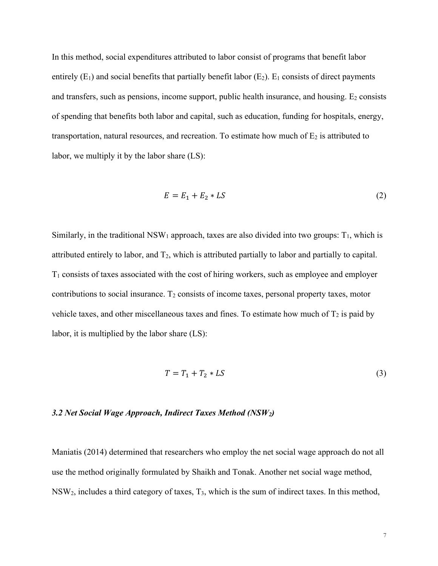In this method, social expenditures attributed to labor consist of programs that benefit labor entirely  $(E_1)$  and social benefits that partially benefit labor  $(E_2)$ .  $E_1$  consists of direct payments and transfers, such as pensions, income support, public health insurance, and housing.  $E_2$  consists of spending that benefits both labor and capital, such as education, funding for hospitals, energy, transportation, natural resources, and recreation. To estimate how much of  $E_2$  is attributed to labor, we multiply it by the labor share (LS):

$$
E = E_1 + E_2 * LS \tag{2}
$$

Similarly, in the traditional  $NSW_1$  approach, taxes are also divided into two groups:  $T_1$ , which is attributed entirely to labor, and  $T_2$ , which is attributed partially to labor and partially to capital.  $T_1$  consists of taxes associated with the cost of hiring workers, such as employee and employer contributions to social insurance.  $T_2$  consists of income taxes, personal property taxes, motor vehicle taxes, and other miscellaneous taxes and fines. To estimate how much of  $T_2$  is paid by labor, it is multiplied by the labor share (LS):

$$
T = T_1 + T_2 * LS \tag{3}
$$

#### *3.2 Net Social Wage Approach, Indirect Taxes Method (NSW2)*

Maniatis (2014) determined that researchers who employ the net social wage approach do not all use the method originally formulated by Shaikh and Tonak. Another net social wage method,  $NSW<sub>2</sub>$ , includes a third category of taxes,  $T<sub>3</sub>$ , which is the sum of indirect taxes. In this method,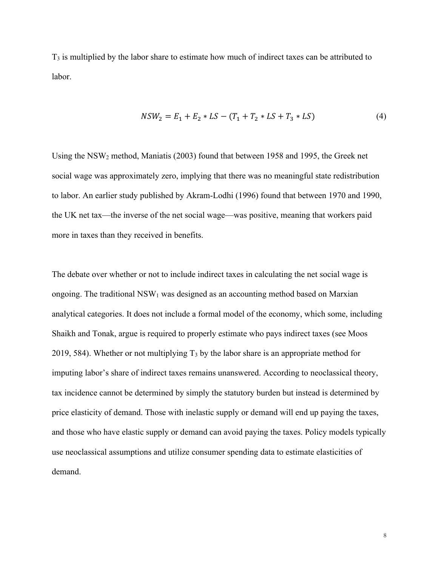T3 is multiplied by the labor share to estimate how much of indirect taxes can be attributed to labor.

$$
NSW_2 = E_1 + E_2 * LS - (T_1 + T_2 * LS + T_3 * LS)
$$
\n(4)

Using the NSW2 method, Maniatis (2003) found that between 1958 and 1995, the Greek net social wage was approximately zero, implying that there was no meaningful state redistribution to labor. An earlier study published by Akram-Lodhi (1996) found that between 1970 and 1990, the UK net tax—the inverse of the net social wage—was positive, meaning that workers paid more in taxes than they received in benefits.

The debate over whether or not to include indirect taxes in calculating the net social wage is ongoing. The traditional  $NSW_1$  was designed as an accounting method based on Marxian analytical categories. It does not include a formal model of the economy, which some, including Shaikh and Tonak, argue is required to properly estimate who pays indirect taxes (see Moos 2019, 584). Whether or not multiplying  $T_3$  by the labor share is an appropriate method for imputing labor's share of indirect taxes remains unanswered. According to neoclassical theory, tax incidence cannot be determined by simply the statutory burden but instead is determined by price elasticity of demand. Those with inelastic supply or demand will end up paying the taxes, and those who have elastic supply or demand can avoid paying the taxes. Policy models typically use neoclassical assumptions and utilize consumer spending data to estimate elasticities of demand.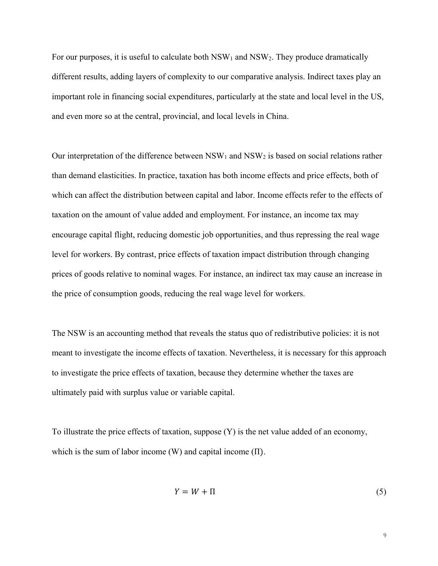For our purposes, it is useful to calculate both  $\text{NSW}_1$  and  $\text{NSW}_2$ . They produce dramatically different results, adding layers of complexity to our comparative analysis. Indirect taxes play an important role in financing social expenditures, particularly at the state and local level in the US, and even more so at the central, provincial, and local levels in China.

Our interpretation of the difference between  $NSW_1$  and  $NSW_2$  is based on social relations rather than demand elasticities. In practice, taxation has both income effects and price effects, both of which can affect the distribution between capital and labor. Income effects refer to the effects of taxation on the amount of value added and employment. For instance, an income tax may encourage capital flight, reducing domestic job opportunities, and thus repressing the real wage level for workers. By contrast, price effects of taxation impact distribution through changing prices of goods relative to nominal wages. For instance, an indirect tax may cause an increase in the price of consumption goods, reducing the real wage level for workers.

The NSW is an accounting method that reveals the status quo of redistributive policies: it is not meant to investigate the income effects of taxation. Nevertheless, it is necessary for this approach to investigate the price effects of taxation, because they determine whether the taxes are ultimately paid with surplus value or variable capital.

To illustrate the price effects of taxation, suppose (Y) is the net value added of an economy, which is the sum of labor income (W) and capital income (Π).

$$
Y = W + \Pi \tag{5}
$$

9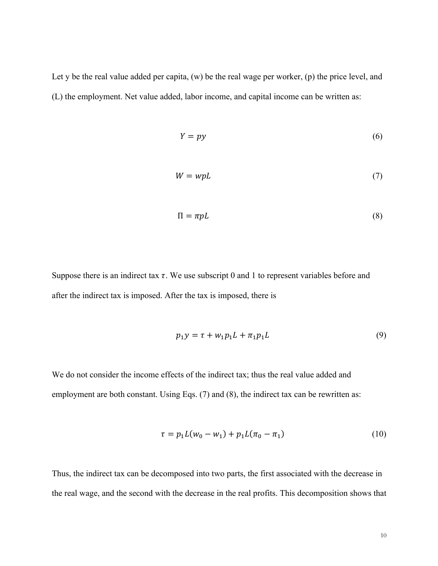Let y be the real value added per capita, (w) be the real wage per worker, (p) the price level, and (L) the employment. Net value added, labor income, and capital income can be written as:

$$
Y = py \tag{6}
$$

$$
W = w p L \tag{7}
$$

$$
\Pi = \pi p \tag{8}
$$

Suppose there is an indirect tax  $\tau$ . We use subscript 0 and 1 to represent variables before and after the indirect tax is imposed. After the tax is imposed, there is

$$
p_1 y = \tau + w_1 p_1 L + \pi_1 p_1 L \tag{9}
$$

We do not consider the income effects of the indirect tax; thus the real value added and employment are both constant. Using Eqs. (7) and (8), the indirect tax can be rewritten as:

$$
\tau = p_1 L(w_0 - w_1) + p_1 L(\pi_0 - \pi_1) \tag{10}
$$

Thus, the indirect tax can be decomposed into two parts, the first associated with the decrease in the real wage, and the second with the decrease in the real profits. This decomposition shows that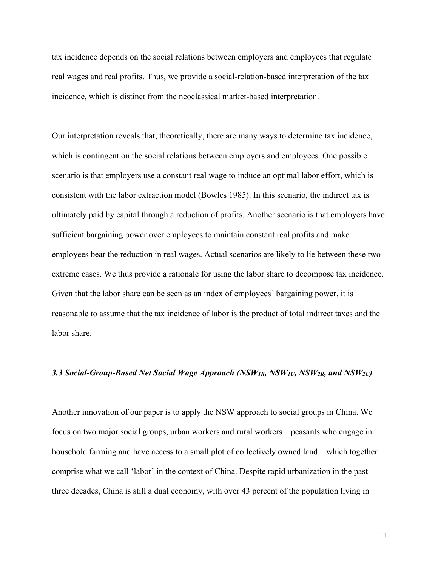tax incidence depends on the social relations between employers and employees that regulate real wages and real profits. Thus, we provide a social-relation-based interpretation of the tax incidence, which is distinct from the neoclassical market-based interpretation.

Our interpretation reveals that, theoretically, there are many ways to determine tax incidence, which is contingent on the social relations between employers and employees. One possible scenario is that employers use a constant real wage to induce an optimal labor effort, which is consistent with the labor extraction model (Bowles 1985). In this scenario, the indirect tax is ultimately paid by capital through a reduction of profits. Another scenario is that employers have sufficient bargaining power over employees to maintain constant real profits and make employees bear the reduction in real wages. Actual scenarios are likely to lie between these two extreme cases. We thus provide a rationale for using the labor share to decompose tax incidence. Given that the labor share can be seen as an index of employees' bargaining power, it is reasonable to assume that the tax incidence of labor is the product of total indirect taxes and the labor share.

#### 3.3 Social-Group-Based Net Social Wage Approach (NSW<sub>1R</sub>, NSW<sub>1U</sub>, NSW<sub>2R</sub>, and NSW<sub>2U</sub>)

Another innovation of our paper is to apply the NSW approach to social groups in China. We focus on two major social groups, urban workers and rural workers—peasants who engage in household farming and have access to a small plot of collectively owned land—which together comprise what we call 'labor' in the context of China. Despite rapid urbanization in the past three decades, China is still a dual economy, with over 43 percent of the population living in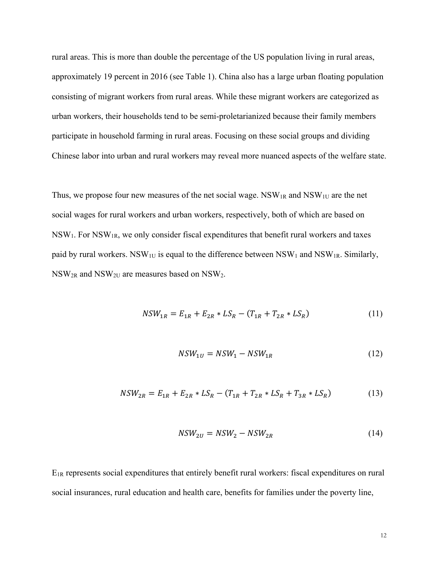rural areas. This is more than double the percentage of the US population living in rural areas, approximately 19 percent in 2016 (see Table 1). China also has a large urban floating population consisting of migrant workers from rural areas. While these migrant workers are categorized as urban workers, their households tend to be semi-proletarianized because their family members participate in household farming in rural areas. Focusing on these social groups and dividing Chinese labor into urban and rural workers may reveal more nuanced aspects of the welfare state.

Thus, we propose four new measures of the net social wage.  $NSW_{1R}$  and  $NSW_{1U}$  are the net social wages for rural workers and urban workers, respectively, both of which are based on NSW1. For NSW1R, we only consider fiscal expenditures that benefit rural workers and taxes paid by rural workers. NSW<sub>1U</sub> is equal to the difference between NSW<sub>1</sub> and NSW<sub>1R</sub>. Similarly, NSW2R and NSW2U are measures based on NSW2.

$$
NSW_{1R} = E_{1R} + E_{2R} * LS_R - (T_{1R} + T_{2R} * LS_R)
$$
\n(11)

$$
NSW_{1U} = NSW_1 - NSW_{1R} \tag{12}
$$

$$
NSW_{2R} = E_{1R} + E_{2R} * LS_R - (T_{1R} + T_{2R} * LS_R + T_{3R} * LS_R)
$$
\n(13)

$$
NSW_{2U} = NSW_2 - NSW_{2R} \tag{14}
$$

E1R represents social expenditures that entirely benefit rural workers: fiscal expenditures on rural social insurances, rural education and health care, benefits for families under the poverty line,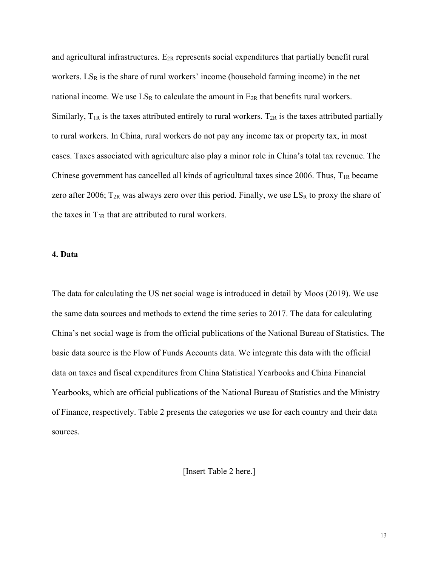and agricultural infrastructures.  $E_{2R}$  represents social expenditures that partially benefit rural workers.  $LS_R$  is the share of rural workers' income (household farming income) in the net national income. We use  $LS_R$  to calculate the amount in  $E_{2R}$  that benefits rural workers. Similarly,  $T_{1R}$  is the taxes attributed entirely to rural workers.  $T_{2R}$  is the taxes attributed partially to rural workers. In China, rural workers do not pay any income tax or property tax, in most cases. Taxes associated with agriculture also play a minor role in China's total tax revenue. The Chinese government has cancelled all kinds of agricultural taxes since 2006. Thus,  $T_{1R}$  became zero after 2006;  $T_{2R}$  was always zero over this period. Finally, we use  $LS_R$  to proxy the share of the taxes in  $T_{3R}$  that are attributed to rural workers.

#### **4. Data**

The data for calculating the US net social wage is introduced in detail by Moos (2019). We use the same data sources and methods to extend the time series to 2017. The data for calculating China's net social wage is from the official publications of the National Bureau of Statistics. The basic data source is the Flow of Funds Accounts data. We integrate this data with the official data on taxes and fiscal expenditures from China Statistical Yearbooks and China Financial Yearbooks, which are official publications of the National Bureau of Statistics and the Ministry of Finance, respectively. Table 2 presents the categories we use for each country and their data sources.

[Insert Table 2 here.]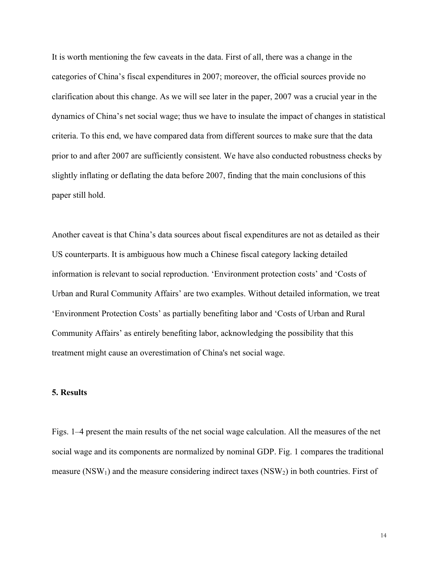It is worth mentioning the few caveats in the data. First of all, there was a change in the categories of China's fiscal expenditures in 2007; moreover, the official sources provide no clarification about this change. As we will see later in the paper, 2007 was a crucial year in the dynamics of China's net social wage; thus we have to insulate the impact of changes in statistical criteria. To this end, we have compared data from different sources to make sure that the data prior to and after 2007 are sufficiently consistent. We have also conducted robustness checks by slightly inflating or deflating the data before 2007, finding that the main conclusions of this paper still hold.

Another caveat is that China's data sources about fiscal expenditures are not as detailed as their US counterparts. It is ambiguous how much a Chinese fiscal category lacking detailed information is relevant to social reproduction. 'Environment protection costs' and 'Costs of Urban and Rural Community Affairs' are two examples. Without detailed information, we treat 'Environment Protection Costs' as partially benefiting labor and 'Costs of Urban and Rural Community Affairs' as entirely benefiting labor, acknowledging the possibility that this treatment might cause an overestimation of China's net social wage.

#### **5. Results**

Figs. 1–4 present the main results of the net social wage calculation. All the measures of the net social wage and its components are normalized by nominal GDP. Fig. 1 compares the traditional measure (NSW<sub>1</sub>) and the measure considering indirect taxes (NSW<sub>2</sub>) in both countries. First of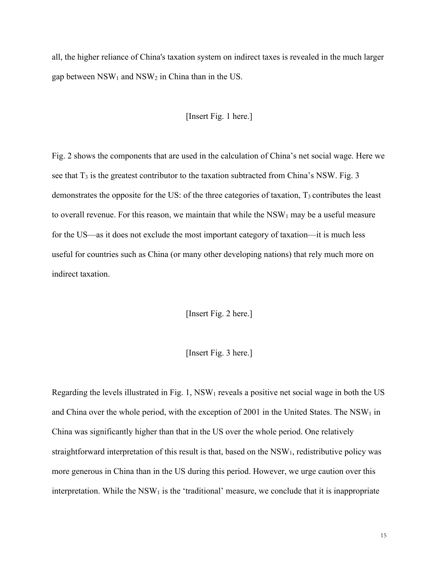all, the higher reliance of China's taxation system on indirect taxes is revealed in the much larger gap between  $NSW_1$  and  $NSW_2$  in China than in the US.

#### [Insert Fig. 1 here.]

Fig. 2 shows the components that are used in the calculation of China's net social wage. Here we see that  $T_3$  is the greatest contributor to the taxation subtracted from China's NSW. Fig. 3 demonstrates the opposite for the US: of the three categories of taxation,  $T_3$  contributes the least to overall revenue. For this reason, we maintain that while the  $\text{NSW}_1$  may be a useful measure for the US—as it does not exclude the most important category of taxation—it is much less useful for countries such as China (or many other developing nations) that rely much more on indirect taxation.

[Insert Fig. 2 here.]

[Insert Fig. 3 here.]

Regarding the levels illustrated in Fig. 1,  $NSW_1$  reveals a positive net social wage in both the US and China over the whole period, with the exception of 2001 in the United States. The  $NSW<sub>1</sub>$  in China was significantly higher than that in the US over the whole period. One relatively straightforward interpretation of this result is that, based on the  $NSW<sub>1</sub>$ , redistributive policy was more generous in China than in the US during this period. However, we urge caution over this interpretation. While the  $NSW<sub>1</sub>$  is the 'traditional' measure, we conclude that it is inappropriate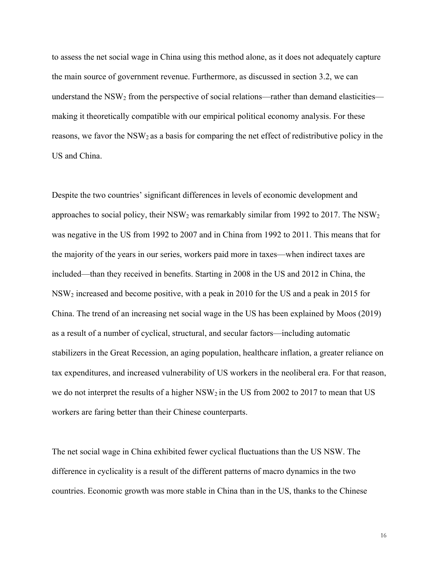to assess the net social wage in China using this method alone, as it does not adequately capture the main source of government revenue. Furthermore, as discussed in section 3.2, we can understand the NSW<sub>2</sub> from the perspective of social relations—rather than demand elasticities making it theoretically compatible with our empirical political economy analysis. For these reasons, we favor the NSW<sub>2</sub> as a basis for comparing the net effect of redistributive policy in the US and China.

Despite the two countries' significant differences in levels of economic development and approaches to social policy, their  $\text{NSW}_2$  was remarkably similar from 1992 to 2017. The  $\text{NSW}_2$ was negative in the US from 1992 to 2007 and in China from 1992 to 2011. This means that for the majority of the years in our series, workers paid more in taxes—when indirect taxes are included—than they received in benefits. Starting in 2008 in the US and 2012 in China, the NSW2 increased and become positive, with a peak in 2010 for the US and a peak in 2015 for China. The trend of an increasing net social wage in the US has been explained by Moos (2019) as a result of a number of cyclical, structural, and secular factors—including automatic stabilizers in the Great Recession, an aging population, healthcare inflation, a greater reliance on tax expenditures, and increased vulnerability of US workers in the neoliberal era. For that reason, we do not interpret the results of a higher NSW<sub>2</sub> in the US from 2002 to 2017 to mean that US workers are faring better than their Chinese counterparts.

The net social wage in China exhibited fewer cyclical fluctuations than the US NSW. The difference in cyclicality is a result of the different patterns of macro dynamics in the two countries. Economic growth was more stable in China than in the US, thanks to the Chinese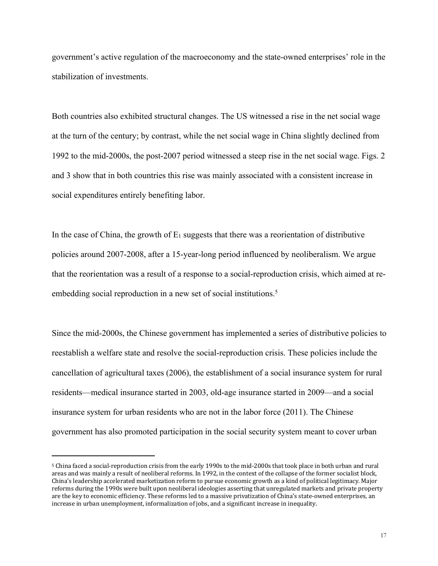government's active regulation of the macroeconomy and the state-owned enterprises' role in the stabilization of investments.

Both countries also exhibited structural changes. The US witnessed a rise in the net social wage at the turn of the century; by contrast, while the net social wage in China slightly declined from 1992 to the mid-2000s, the post-2007 period witnessed a steep rise in the net social wage. Figs. 2 and 3 show that in both countries this rise was mainly associated with a consistent increase in social expenditures entirely benefiting labor.

In the case of China, the growth of  $E_1$  suggests that there was a reorientation of distributive policies around 2007-2008, after a 15-year-long period influenced by neoliberalism. We argue that the reorientation was a result of a response to a social-reproduction crisis, which aimed at reembedding social reproduction in a new set of social institutions.<sup>5</sup>

Since the mid-2000s, the Chinese government has implemented a series of distributive policies to reestablish a welfare state and resolve the social-reproduction crisis. These policies include the cancellation of agricultural taxes (2006), the establishment of a social insurance system for rural residents—medical insurance started in 2003, old-age insurance started in 2009—and a social insurance system for urban residents who are not in the labor force (2011). The Chinese government has also promoted participation in the social security system meant to cover urban

<sup>&</sup>lt;sup>5</sup> China faced a social-reproduction crisis from the early 1990s to the mid-2000s that took place in both urban and rural areas and was mainly a result of neoliberal reforms. In 1992, in the context of the collapse of the former socialist block, China's leadership accelerated marketization reform to pursue economic growth as a kind of political legitimacy. Major reforms during the 1990s were built upon neoliberal ideologies asserting that unregulated markets and private property are the key to economic efficiency. These reforms led to a massive privatization of China's state-owned enterprises, an increase in urban unemployment, informalization of jobs, and a significant increase in inequality.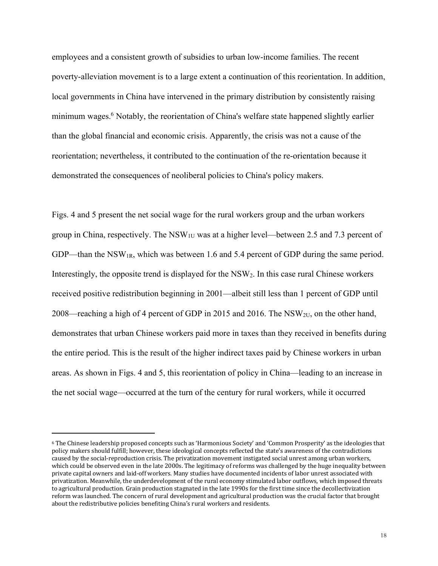employees and a consistent growth of subsidies to urban low-income families. The recent poverty-alleviation movement is to a large extent a continuation of this reorientation. In addition, local governments in China have intervened in the primary distribution by consistently raising minimum wages.<sup>6</sup> Notably, the reorientation of China's welfare state happened slightly earlier than the global financial and economic crisis. Apparently, the crisis was not a cause of the reorientation; nevertheless, it contributed to the continuation of the re-orientation because it demonstrated the consequences of neoliberal policies to China's policy makers.

Figs. 4 and 5 present the net social wage for the rural workers group and the urban workers group in China, respectively. The  $NSW_{1U}$  was at a higher level—between 2.5 and 7.3 percent of GDP—than the NSW<sub>1R</sub>, which was between 1.6 and 5.4 percent of GDP during the same period. Interestingly, the opposite trend is displayed for the NSW2. In this case rural Chinese workers received positive redistribution beginning in 2001—albeit still less than 1 percent of GDP until 2008—reaching a high of 4 percent of GDP in 2015 and 2016. The NSW<sub>2U</sub>, on the other hand, demonstrates that urban Chinese workers paid more in taxes than they received in benefits during the entire period. This is the result of the higher indirect taxes paid by Chinese workers in urban areas. As shown in Figs. 4 and 5, this reorientation of policy in China—leading to an increase in the net social wage—occurred at the turn of the century for rural workers, while it occurred

 $6$  The Chinese leadership proposed concepts such as 'Harmonious Society' and 'Common Prosperity' as the ideologies that policy makers should fulfill; however, these ideological concepts reflected the state's awareness of the contradictions caused by the social-reproduction crisis. The privatization movement instigated social unrest among urban workers, which could be observed even in the late 2000s. The legitimacy of reforms was challenged by the huge inequality between private capital owners and laid-off workers. Many studies have documented incidents of labor unrest associated with privatization. Meanwhile, the underdevelopment of the rural economy stimulated labor outflows, which imposed threats to agricultural production. Grain production stagnated in the late 1990s for the first time since the decollectivization reform was launched. The concern of rural development and agricultural production was the crucial factor that brought about the redistributive policies benefiting China's rural workers and residents.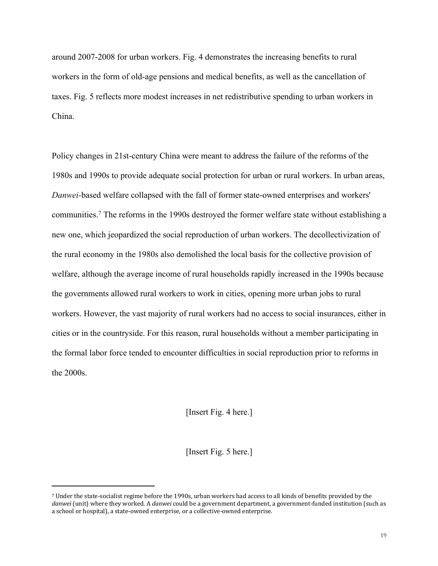around 2007-2008 for urban workers. Fig. 4 demonstrates the increasing benefits to rural workers in the form of old-age pensions and medical benefits, as well as the cancellation of taxes. Fig. 5 reflects more modest increases in net redistributive spending to urban workers in China.

Policy changes in 21st-century China were meant to address the failure of the reforms of the 1980s and 1990s to provide adequate social protection for urban or rural workers. In urban areas, *Danwei-*based welfare collapsed with the fall of former state-owned enterprises and workers' communities.7 The reforms in the 1990s destroyed the former welfare state without establishing a new one, which jeopardized the social reproduction of urban workers. The decollectivization of the rural economy in the 1980s also demolished the local basis for the collective provision of welfare, although the average income of rural households rapidly increased in the 1990s because the governments allowed rural workers to work in cities, opening more urban jobs to rural workers. However, the vast majority of rural workers had no access to social insurances, either in cities or in the countryside. For this reason, rural households without a member participating in the formal labor force tended to encounter difficulties in social reproduction prior to reforms in the 2000s.

[Insert Fig. 4 here.]

[Insert Fig. 5 here.]

<sup>7</sup> Under the state-socialist regime before the 1990s, urban workers had access to all kinds of benefits provided by the *danwei* (unit) where they worked. A *danwei* could be a government department, a government-funded institution (such as a school or hospital), a state-owned enterprise, or a collective-owned enterprise.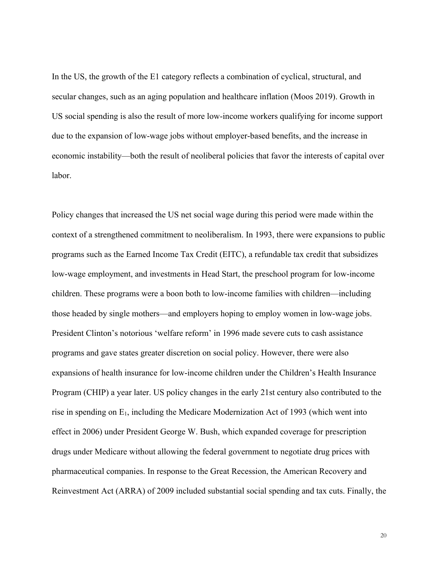In the US, the growth of the E1 category reflects a combination of cyclical, structural, and secular changes, such as an aging population and healthcare inflation (Moos 2019). Growth in US social spending is also the result of more low-income workers qualifying for income support due to the expansion of low-wage jobs without employer-based benefits, and the increase in economic instability—both the result of neoliberal policies that favor the interests of capital over labor.

Policy changes that increased the US net social wage during this period were made within the context of a strengthened commitment to neoliberalism. In 1993, there were expansions to public programs such as the Earned Income Tax Credit (EITC), a refundable tax credit that subsidizes low-wage employment, and investments in Head Start, the preschool program for low-income children. These programs were a boon both to low-income families with children—including those headed by single mothers—and employers hoping to employ women in low-wage jobs. President Clinton's notorious 'welfare reform' in 1996 made severe cuts to cash assistance programs and gave states greater discretion on social policy. However, there were also expansions of health insurance for low-income children under the Children's Health Insurance Program (CHIP) a year later. US policy changes in the early 21st century also contributed to the rise in spending on  $E_1$ , including the Medicare Modernization Act of 1993 (which went into effect in 2006) under President George W. Bush, which expanded coverage for prescription drugs under Medicare without allowing the federal government to negotiate drug prices with pharmaceutical companies. In response to the Great Recession, the American Recovery and Reinvestment Act (ARRA) of 2009 included substantial social spending and tax cuts. Finally, the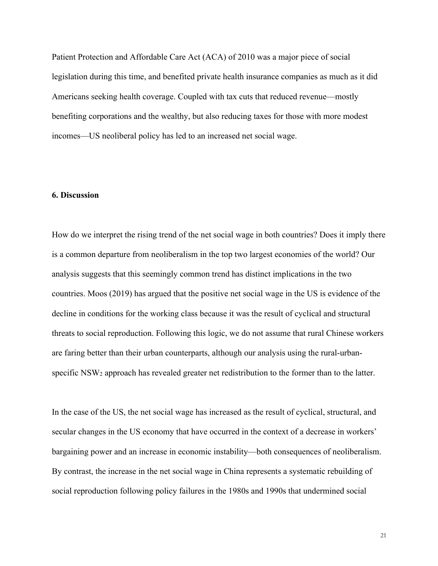Patient Protection and Affordable Care Act (ACA) of 2010 was a major piece of social legislation during this time, and benefited private health insurance companies as much as it did Americans seeking health coverage. Coupled with tax cuts that reduced revenue—mostly benefiting corporations and the wealthy, but also reducing taxes for those with more modest incomes—US neoliberal policy has led to an increased net social wage.

#### **6. Discussion**

How do we interpret the rising trend of the net social wage in both countries? Does it imply there is a common departure from neoliberalism in the top two largest economies of the world? Our analysis suggests that this seemingly common trend has distinct implications in the two countries. Moos (2019) has argued that the positive net social wage in the US is evidence of the decline in conditions for the working class because it was the result of cyclical and structural threats to social reproduction. Following this logic, we do not assume that rural Chinese workers are faring better than their urban counterparts, although our analysis using the rural-urbanspecific NSW<sub>2</sub> approach has revealed greater net redistribution to the former than to the latter.

In the case of the US, the net social wage has increased as the result of cyclical, structural, and secular changes in the US economy that have occurred in the context of a decrease in workers' bargaining power and an increase in economic instability—both consequences of neoliberalism. By contrast, the increase in the net social wage in China represents a systematic rebuilding of social reproduction following policy failures in the 1980s and 1990s that undermined social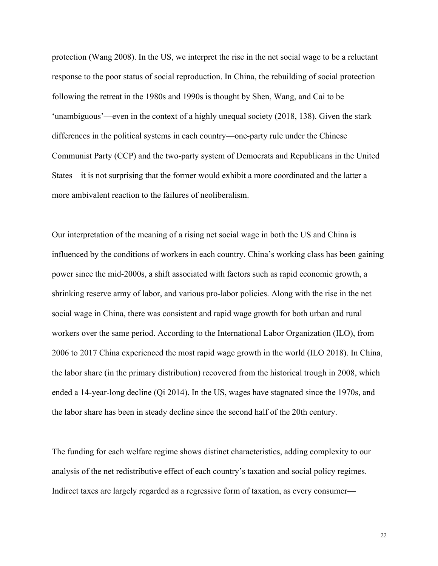protection (Wang 2008). In the US, we interpret the rise in the net social wage to be a reluctant response to the poor status of social reproduction. In China, the rebuilding of social protection following the retreat in the 1980s and 1990s is thought by Shen, Wang, and Cai to be 'unambiguous'—even in the context of a highly unequal society (2018, 138). Given the stark differences in the political systems in each country—one-party rule under the Chinese Communist Party (CCP) and the two-party system of Democrats and Republicans in the United States—it is not surprising that the former would exhibit a more coordinated and the latter a more ambivalent reaction to the failures of neoliberalism.

Our interpretation of the meaning of a rising net social wage in both the US and China is influenced by the conditions of workers in each country. China's working class has been gaining power since the mid-2000s, a shift associated with factors such as rapid economic growth, a shrinking reserve army of labor, and various pro-labor policies. Along with the rise in the net social wage in China, there was consistent and rapid wage growth for both urban and rural workers over the same period. According to the International Labor Organization (ILO), from 2006 to 2017 China experienced the most rapid wage growth in the world (ILO 2018). In China, the labor share (in the primary distribution) recovered from the historical trough in 2008, which ended a 14-year-long decline (Qi 2014). In the US, wages have stagnated since the 1970s, and the labor share has been in steady decline since the second half of the 20th century.

The funding for each welfare regime shows distinct characteristics, adding complexity to our analysis of the net redistributive effect of each country's taxation and social policy regimes. Indirect taxes are largely regarded as a regressive form of taxation, as every consumer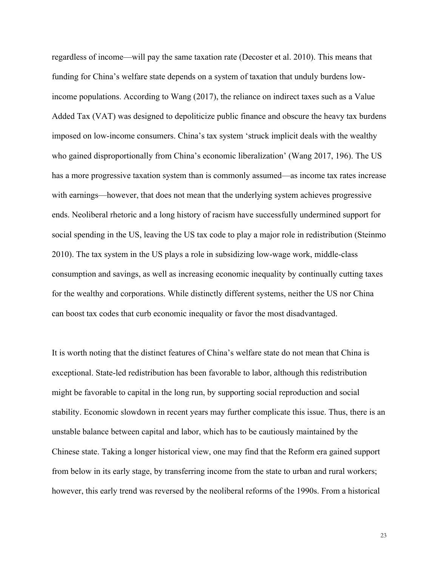regardless of income—will pay the same taxation rate (Decoster et al. 2010). This means that funding for China's welfare state depends on a system of taxation that unduly burdens lowincome populations. According to Wang (2017), the reliance on indirect taxes such as a Value Added Tax (VAT) was designed to depoliticize public finance and obscure the heavy tax burdens imposed on low-income consumers. China's tax system 'struck implicit deals with the wealthy who gained disproportionally from China's economic liberalization' (Wang 2017, 196). The US has a more progressive taxation system than is commonly assumed—as income tax rates increase with earnings—however, that does not mean that the underlying system achieves progressive ends. Neoliberal rhetoric and a long history of racism have successfully undermined support for social spending in the US, leaving the US tax code to play a major role in redistribution (Steinmo 2010). The tax system in the US plays a role in subsidizing low-wage work, middle-class consumption and savings, as well as increasing economic inequality by continually cutting taxes for the wealthy and corporations. While distinctly different systems, neither the US nor China can boost tax codes that curb economic inequality or favor the most disadvantaged.

It is worth noting that the distinct features of China's welfare state do not mean that China is exceptional. State-led redistribution has been favorable to labor, although this redistribution might be favorable to capital in the long run, by supporting social reproduction and social stability. Economic slowdown in recent years may further complicate this issue. Thus, there is an unstable balance between capital and labor, which has to be cautiously maintained by the Chinese state. Taking a longer historical view, one may find that the Reform era gained support from below in its early stage, by transferring income from the state to urban and rural workers; however, this early trend was reversed by the neoliberal reforms of the 1990s. From a historical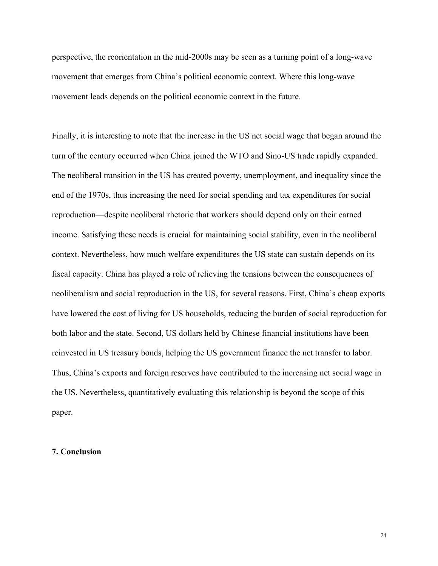perspective, the reorientation in the mid-2000s may be seen as a turning point of a long-wave movement that emerges from China's political economic context. Where this long-wave movement leads depends on the political economic context in the future.

Finally, it is interesting to note that the increase in the US net social wage that began around the turn of the century occurred when China joined the WTO and Sino-US trade rapidly expanded. The neoliberal transition in the US has created poverty, unemployment, and inequality since the end of the 1970s, thus increasing the need for social spending and tax expenditures for social reproduction—despite neoliberal rhetoric that workers should depend only on their earned income. Satisfying these needs is crucial for maintaining social stability, even in the neoliberal context. Nevertheless, how much welfare expenditures the US state can sustain depends on its fiscal capacity. China has played a role of relieving the tensions between the consequences of neoliberalism and social reproduction in the US, for several reasons. First, China's cheap exports have lowered the cost of living for US households, reducing the burden of social reproduction for both labor and the state. Second, US dollars held by Chinese financial institutions have been reinvested in US treasury bonds, helping the US government finance the net transfer to labor. Thus, China's exports and foreign reserves have contributed to the increasing net social wage in the US. Nevertheless, quantitatively evaluating this relationship is beyond the scope of this paper.

#### **7. Conclusion**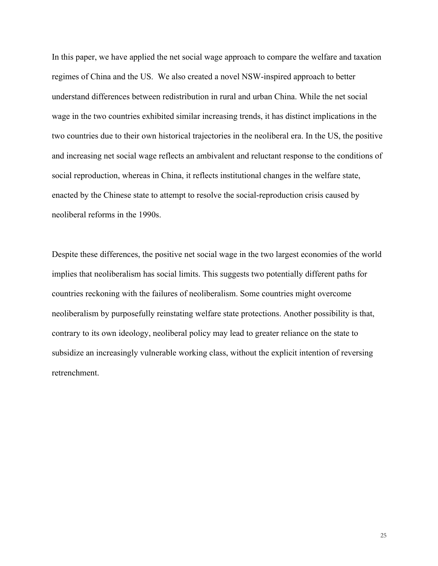In this paper, we have applied the net social wage approach to compare the welfare and taxation regimes of China and the US. We also created a novel NSW-inspired approach to better understand differences between redistribution in rural and urban China. While the net social wage in the two countries exhibited similar increasing trends, it has distinct implications in the two countries due to their own historical trajectories in the neoliberal era. In the US, the positive and increasing net social wage reflects an ambivalent and reluctant response to the conditions of social reproduction, whereas in China, it reflects institutional changes in the welfare state, enacted by the Chinese state to attempt to resolve the social-reproduction crisis caused by neoliberal reforms in the 1990s.

Despite these differences, the positive net social wage in the two largest economies of the world implies that neoliberalism has social limits. This suggests two potentially different paths for countries reckoning with the failures of neoliberalism. Some countries might overcome neoliberalism by purposefully reinstating welfare state protections. Another possibility is that, contrary to its own ideology, neoliberal policy may lead to greater reliance on the state to subsidize an increasingly vulnerable working class, without the explicit intention of reversing retrenchment.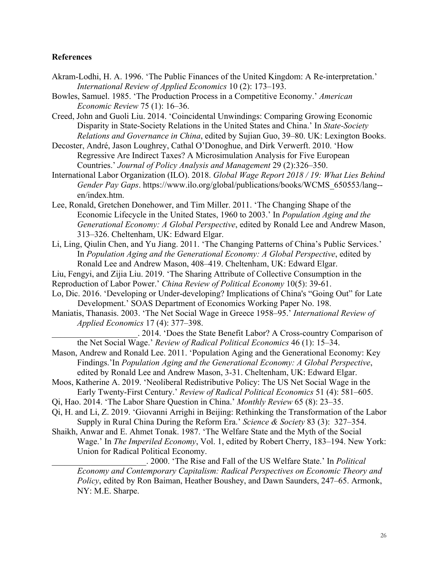#### **References**

- Akram-Lodhi, H. A. 1996. 'The Public Finances of the United Kingdom: A Re-interpretation.' *International Review of Applied Economics* 10 (2): 173–193.
- Bowles, Samuel. 1985. 'The Production Process in a Competitive Economy.' *American Economic Review* 75 (1): 16–36.
- Creed, John and Guoli Liu. 2014. 'Coincidental Unwindings: Comparing Growing Economic Disparity in State-Society Relations in the United States and China.' In *State-Society Relations and Governance in China*, edited by Sujian Guo, 39–80. UK: Lexington Books.
- Decoster, André, Jason Loughrey, Cathal O'Donoghue, and Dirk Verwerft. 2010. 'How Regressive Are Indirect Taxes? A Microsimulation Analysis for Five European Countries.' *Journal of Policy Analysis and Management* 29 (2):326–350.
- International Labor Organization (ILO). 2018. *Global Wage Report 2018 / 19: What Lies Behind Gender Pay Gaps*. https://www.ilo.org/global/publications/books/WCMS\_650553/lang- en/index.htm.
- Lee, Ronald, Gretchen Donehower, and Tim Miller. 2011. 'The Changing Shape of the Economic Lifecycle in the United States, 1960 to 2003.' In *Population Aging and the Generational Economy: A Global Perspective*, edited by Ronald Lee and Andrew Mason, 313–326. Cheltenham, UK: Edward Elgar.
- Li, Ling, Qiulin Chen, and Yu Jiang. 2011. 'The Changing Patterns of China's Public Services.' In *Population Aging and the Generational Economy: A Global Perspective*, edited by Ronald Lee and Andrew Mason, 408–419. Cheltenham, UK: Edward Elgar.
- Liu, Fengyi, and Zijia Liu. 2019. 'The Sharing Attribute of Collective Consumption in the
- Reproduction of Labor Power.' *China Review of Political Economy* 10(5): 39-61.
- Lo, Dic. 2016. 'Developing or Under-developing? Implications of China's "Going Out" for Late Development.' SOAS Department of Economics Working Paper No. 198.
- Maniatis, Thanasis. 2003. 'The Net Social Wage in Greece 1958–95.' *International Review of Applied Economics* 17 (4): 377–398.

\_\_\_\_\_\_\_\_\_\_\_\_\_\_\_\_\_\_\_\_. 2014. 'Does the State Benefit Labor? A Cross-country Comparison of the Net Social Wage.' *Review of Radical Political Economics* 46 (1): 15–34.

- Mason, Andrew and Ronald Lee. 2011. 'Population Aging and the Generational Economy: Key Findings.'In *Population Aging and the Generational Economy: A Global Perspective*, edited by Ronald Lee and Andrew Mason, 3-31. Cheltenham, UK: Edward Elgar.
- Moos, Katherine A. 2019. 'Neoliberal Redistributive Policy: The US Net Social Wage in the Early Twenty-First Century.' *Review of Radical Political Economics* 51 (4): 581–605.
- Qi, Hao. 2014. 'The Labor Share Question in China.' *Monthly Review* 65 (8): 23–35.
- Qi, H. and Li, Z. 2019. 'Giovanni Arrighi in Beijing: Rethinking the Transformation of the Labor Supply in Rural China During the Reform Era.' *Science & Society* 83 (3): 327–354.
- Shaikh, Anwar and E. Ahmet Tonak. 1987. 'The Welfare State and the Myth of the Social Wage.' In *The Imperiled Economy*, Vol. 1, edited by Robert Cherry, 183–194. New York: Union for Radical Political Economy.

\_\_\_\_\_\_\_\_\_\_\_\_\_\_\_\_\_\_\_\_\_\_. 2000. 'The Rise and Fall of the US Welfare State.' In *Political Economy and Contemporary Capitalism: Radical Perspectives on Economic Theory and Policy*, edited by Ron Baiman, Heather Boushey, and Dawn Saunders, 247–65. Armonk, NY: M.E. Sharpe.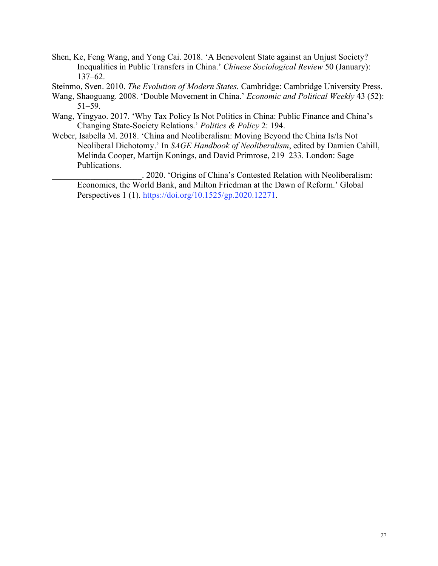- Shen, Ke, Feng Wang, and Yong Cai. 2018. 'A Benevolent State against an Unjust Society? Inequalities in Public Transfers in China.' *Chinese Sociological Review* 50 (January): 137–62.
- Steinmo, Sven. 2010. *The Evolution of Modern States.* Cambridge: Cambridge University Press.
- Wang, Shaoguang. 2008. 'Double Movement in China.' *Economic and Political Weekly* 43 (52): 51–59.
- Wang, Yingyao. 2017. 'Why Tax Policy Is Not Politics in China: Public Finance and China's Changing State-Society Relations.' *Politics & Policy* 2: 194.
- Weber, Isabella M. 2018. 'China and Neoliberalism: Moving Beyond the China Is/Is Not Neoliberal Dichotomy.' In *SAGE Handbook of Neoliberalism*, edited by Damien Cahill, Melinda Cooper, Martijn Konings, and David Primrose, 219–233. London: Sage Publications.

\_\_\_\_\_\_\_\_\_\_\_\_\_\_\_\_\_\_\_\_\_. 2020. 'Origins of China's Contested Relation with Neoliberalism: Economics, the World Bank, and Milton Friedman at the Dawn of Reform.' Global Perspectives 1 (1). https://doi.org/10.1525/gp.2020.12271.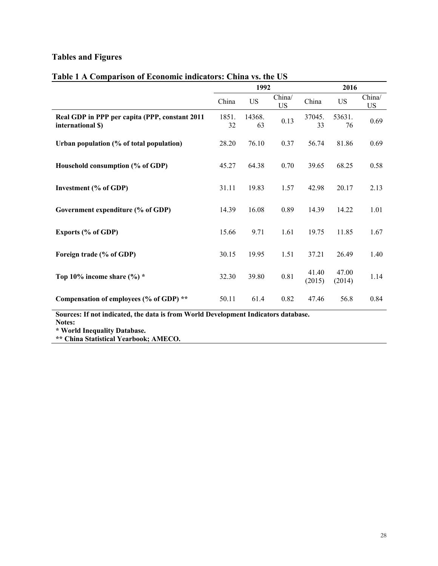## **Tables and Figures**

|                                                                                    | 1992        |              |                     |                 | 2016            |                     |  |
|------------------------------------------------------------------------------------|-------------|--------------|---------------------|-----------------|-----------------|---------------------|--|
|                                                                                    | China       | <b>US</b>    | China/<br><b>US</b> | China           | <b>US</b>       | China/<br><b>US</b> |  |
| Real GDP in PPP per capita (PPP, constant 2011<br>international \$)                | 1851.<br>32 | 14368.<br>63 | 0.13                | 37045.<br>33    | 53631.<br>76    | 0.69                |  |
| Urban population (% of total population)                                           | 28.20       | 76.10        | 0.37                | 56.74           | 81.86           | 0.69                |  |
| Household consumption (% of GDP)                                                   | 45.27       | 64.38        | 0.70                | 39.65           | 68.25           | 0.58                |  |
| <b>Investment</b> (% of GDP)                                                       | 31.11       | 19.83        | 1.57                | 42.98           | 20.17           | 2.13                |  |
| Government expenditure (% of GDP)                                                  | 14.39       | 16.08        | 0.89                | 14.39           | 14.22           | 1.01                |  |
| Exports (% of GDP)                                                                 | 15.66       | 9.71         | 1.61                | 19.75           | 11.85           | 1.67                |  |
| Foreign trade (% of GDP)                                                           | 30.15       | 19.95        | 1.51                | 37.21           | 26.49           | 1.40                |  |
| Top 10% income share $(\%) *$                                                      | 32.30       | 39.80        | 0.81                | 41.40<br>(2015) | 47.00<br>(2014) | 1.14                |  |
| Compensation of employees (% of GDP) **                                            | 50.11       | 61.4         | 0.82                | 47.46           | 56.8            | 0.84                |  |
| Sources: If not indicated, the data is from World Development Indicators database. |             |              |                     |                 |                 |                     |  |

## **Table 1 A Comparison of Economic indicators: China vs. the US**

**Notes:** 

**\* World Inequality Database.**

**\*\* China Statistical Yearbook; AMECO.**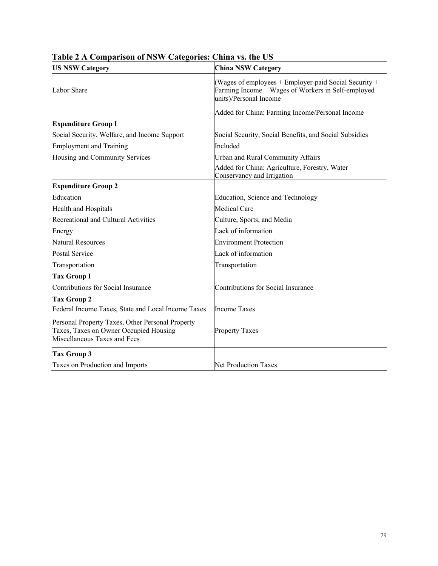| <b>US NSW Category</b>                                                                                                     | <b>China NSW Category</b>                                                                                                                 |  |  |
|----------------------------------------------------------------------------------------------------------------------------|-------------------------------------------------------------------------------------------------------------------------------------------|--|--|
| Labor Share                                                                                                                | (Wages of employees $+$ Employer-paid Social Security $+$<br>Farming Income + Wages of Workers in Self-employed<br>units)/Personal Income |  |  |
|                                                                                                                            | Added for China: Farming Income/Personal Income                                                                                           |  |  |
| <b>Expenditure Group I</b>                                                                                                 |                                                                                                                                           |  |  |
| Social Security, Welfare, and Income Support                                                                               | Social Security, Social Benefits, and Social Subsidies                                                                                    |  |  |
| <b>Employment and Training</b>                                                                                             | Included                                                                                                                                  |  |  |
| Housing and Community Services                                                                                             | <b>Urban and Rural Community Affairs</b>                                                                                                  |  |  |
|                                                                                                                            | Added for China: Agriculture, Forestry, Water<br>Conservancy and Irrigation                                                               |  |  |
| <b>Expenditure Group 2</b>                                                                                                 |                                                                                                                                           |  |  |
| Education                                                                                                                  | Education, Science and Technology                                                                                                         |  |  |
| Health and Hospitals                                                                                                       | <b>Medical Care</b>                                                                                                                       |  |  |
| Recreational and Cultural Activities                                                                                       | Culture, Sports, and Media                                                                                                                |  |  |
| Energy                                                                                                                     | Lack of information                                                                                                                       |  |  |
| <b>Natural Resources</b>                                                                                                   | <b>Environment Protection</b>                                                                                                             |  |  |
| Postal Service                                                                                                             | Lack of information                                                                                                                       |  |  |
| Transportation                                                                                                             | Transportation                                                                                                                            |  |  |
| <b>Tax Group I</b>                                                                                                         |                                                                                                                                           |  |  |
| Contributions for Social Insurance                                                                                         | Contributions for Social Insurance                                                                                                        |  |  |
| <b>Tax Group 2</b>                                                                                                         |                                                                                                                                           |  |  |
| Federal Income Taxes, State and Local Income Taxes                                                                         | <b>Income Taxes</b>                                                                                                                       |  |  |
| Personal Property Taxes, Other Personal Property<br>Taxes, Taxes on Owner Occupied Housing<br>Miscellaneous Taxes and Fees | <b>Property Taxes</b>                                                                                                                     |  |  |
| Tax Group 3                                                                                                                |                                                                                                                                           |  |  |
| Taxes on Production and Imports                                                                                            | <b>Net Production Taxes</b>                                                                                                               |  |  |

## **Table 2 A Comparison of NSW Categories: China vs. the US**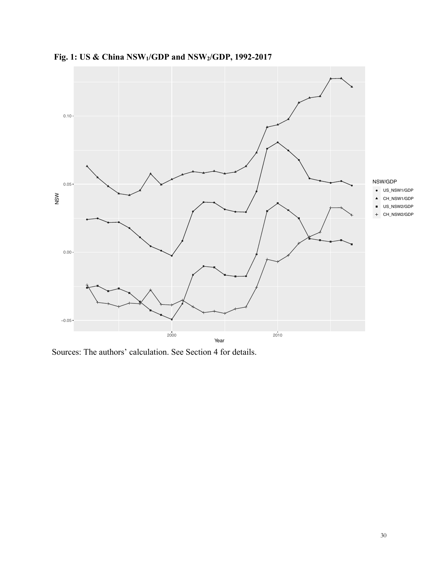

**Fig. 1: US & China NSW1/GDP and NSW2/GDP, 1992-2017**

Sources: The authors' calculation. See Section 4 for details.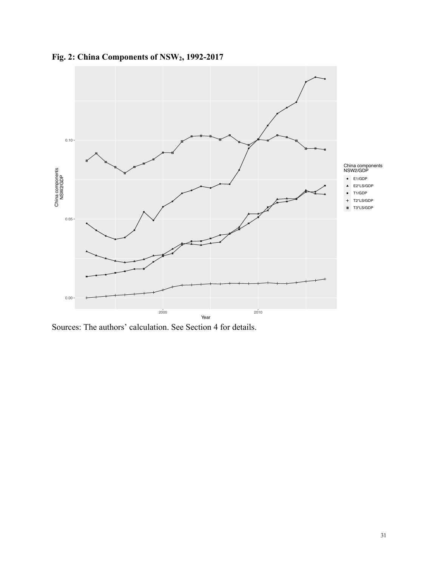

**Fig. 2: China Components of NSW2, 1992-2017**

Sources: The authors' calculation. See Section 4 for details.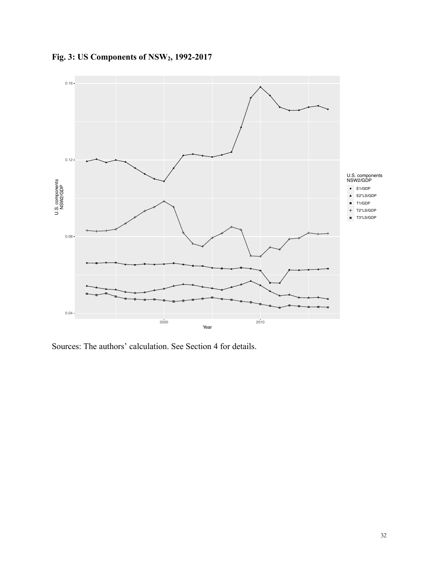

**Fig. 3: US Components of NSW2, 1992-2017**

Sources: The authors' calculation. See Section 4 for details.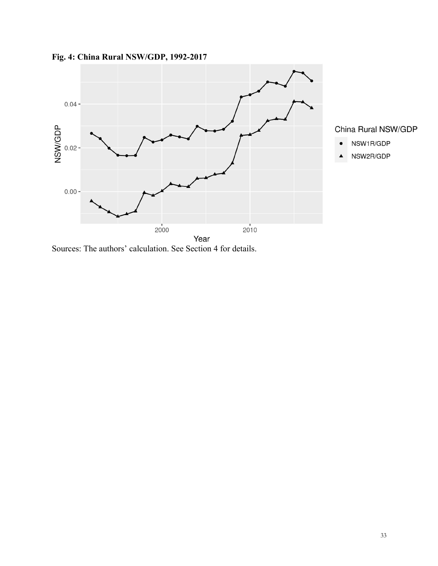

**Fig. 4: China Rural NSW/GDP, 1992-2017**

Sources: The authors' calculation. See Section 4 for details.